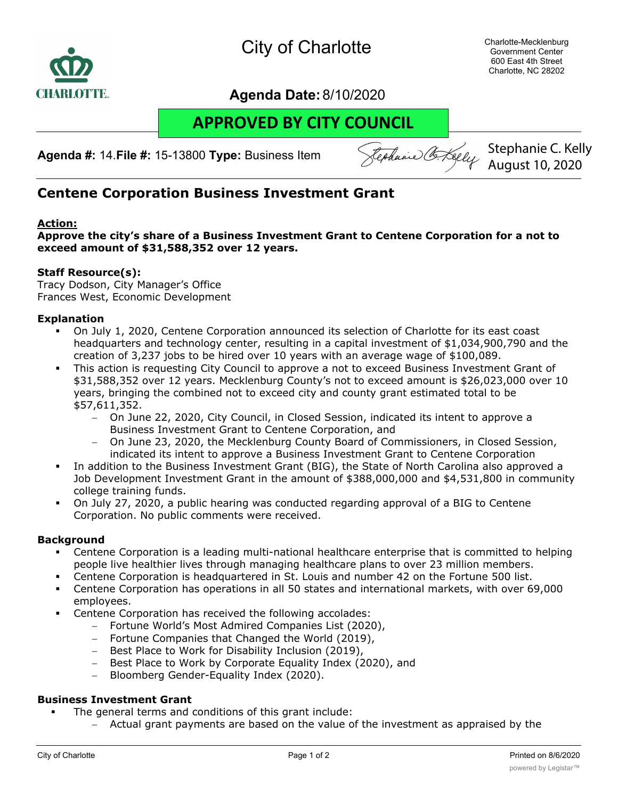

## **Agenda Date:** 8/10/2020

# **APPROVED BY CITY COUNCIL**

**Agenda #:** 14.**File #:** 15-13800 **Type:** Business Item

Rephanie Co. Kelly

Stephanie C. Kelly August 10, 2020

## **Centene Corporation Business Investment Grant**

#### **Action:**

**Approve the city's share of a Business Investment Grant to Centene Corporation for a not to exceed amount of \$31,588,352 over 12 years.**

#### **Staff Resource(s):**

Tracy Dodson, City Manager's Office Frances West, Economic Development

#### **Explanation**

- § On July 1, 2020, Centene Corporation announced its selection of Charlotte for its east coast headquarters and technology center, resulting in a capital investment of \$1,034,900,790 and the creation of 3,237 jobs to be hired over 10 years with an average wage of \$100,089.
- This action is requesting City Council to approve a not to exceed Business Investment Grant of \$31,588,352 over 12 years. Mecklenburg County's not to exceed amount is \$26,023,000 over 10 years, bringing the combined not to exceed city and county grant estimated total to be \$57,611,352.
	- On June 22, 2020, City Council, in Closed Session, indicated its intent to approve a Business Investment Grant to Centene Corporation, and
	- On June 23, 2020, the Mecklenburg County Board of Commissioners, in Closed Session, indicated its intent to approve a Business Investment Grant to Centene Corporation
- In addition to the Business Investment Grant (BIG), the State of North Carolina also approved a Job Development Investment Grant in the amount of \$388,000,000 and \$4,531,800 in community college training funds.
- § On July 27, 2020, a public hearing was conducted regarding approval of a BIG to Centene Corporation. No public comments were received.

#### **Background**

- § Centene Corporation is a leading multi-national healthcare enterprise that is committed to helping people live healthier lives through managing healthcare plans to over 23 million members.
- Centene Corporation is headquartered in St. Louis and number 42 on the Fortune 500 list.
- § Centene Corporation has operations in all 50 states and international markets, with over 69,000 employees.
- Centene Corporation has received the following accolades:
	- Fortune World's Most Admired Companies List (2020),
	- Fortune Companies that Changed the World (2019),
	- Best Place to Work for Disability Inclusion (2019),
	- Best Place to Work by Corporate Equality Index (2020), and
	- Bloomberg Gender-Equality Index (2020).

#### **Business Investment Grant**

- The general terms and conditions of this grant include:
	- Actual grant payments are based on the value of the investment as appraised by the